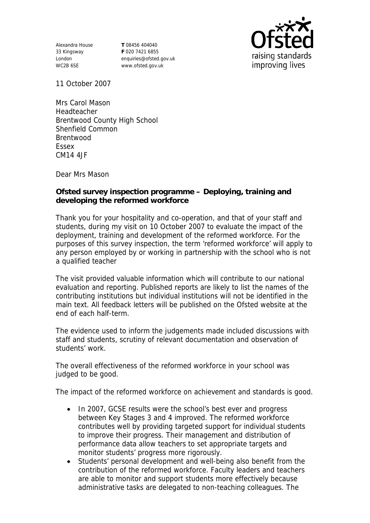Alexandra House 33 Kingsway London WC2B 6SE

**T** 08456 404040 **F** 020 7421 6855 enquiries@ofsted.gov.uk www.ofsted.gov.uk



11 October 2007

Mrs Carol Mason Headteacher Brentwood County High School Shenfield Common Brentwood Essex CM14 4JF

Dear Mrs Mason

**Ofsted survey inspection programme – Deploying, training and developing the reformed workforce** 

Thank you for your hospitality and co-operation, and that of your staff and students, during my visit on 10 October 2007 to evaluate the impact of the deployment, training and development of the reformed workforce. For the purposes of this survey inspection, the term 'reformed workforce' will apply to any person employed by or working in partnership with the school who is not a qualified teacher

The visit provided valuable information which will contribute to our national evaluation and reporting. Published reports are likely to list the names of the contributing institutions but individual institutions will not be identified in the main text. All feedback letters will be published on the Ofsted website at the end of each half-term.

The evidence used to inform the judgements made included discussions with staff and students, scrutiny of relevant documentation and observation of students' work.

The overall effectiveness of the reformed workforce in your school was judged to be good.

The impact of the reformed workforce on achievement and standards is good.

- In 2007, GCSE results were the school's best ever and progress between Key Stages 3 and 4 improved. The reformed workforce contributes well by providing targeted support for individual students to improve their progress. Their management and distribution of performance data allow teachers to set appropriate targets and monitor students' progress more rigorously.
- Students' personal development and well-being also benefit from the contribution of the reformed workforce. Faculty leaders and teachers are able to monitor and support students more effectively because administrative tasks are delegated to non-teaching colleagues. The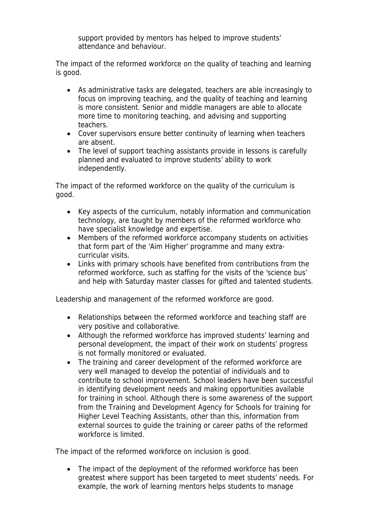support provided by mentors has helped to improve students' attendance and behaviour.

The impact of the reformed workforce on the quality of teaching and learning is good.

- As administrative tasks are delegated, teachers are able increasingly to focus on improving teaching, and the quality of teaching and learning is more consistent. Senior and middle managers are able to allocate more time to monitoring teaching, and advising and supporting teachers.
- Cover supervisors ensure better continuity of learning when teachers are absent.
- The level of support teaching assistants provide in lessons is carefully planned and evaluated to improve students' ability to work independently.

The impact of the reformed workforce on the quality of the curriculum is good.

- Key aspects of the curriculum, notably information and communication technology, are taught by members of the reformed workforce who have specialist knowledge and expertise.
- Members of the reformed workforce accompany students on activities that form part of the 'Aim Higher' programme and many extracurricular visits.
- Links with primary schools have benefited from contributions from the reformed workforce, such as staffing for the visits of the 'science bus' and help with Saturday master classes for gifted and talented students.

Leadership and management of the reformed workforce are good.

- Relationships between the reformed workforce and teaching staff are very positive and collaborative.
- Although the reformed workforce has improved students' learning and personal development, the impact of their work on students' progress is not formally monitored or evaluated.
- The training and career development of the reformed workforce are very well managed to develop the potential of individuals and to contribute to school improvement. School leaders have been successful in identifying development needs and making opportunities available for training in school. Although there is some awareness of the support from the Training and Development Agency for Schools for training for Higher Level Teaching Assistants, other than this, information from external sources to guide the training or career paths of the reformed workforce is limited.

The impact of the reformed workforce on inclusion is good.

 The impact of the deployment of the reformed workforce has been greatest where support has been targeted to meet students' needs. For example, the work of learning mentors helps students to manage